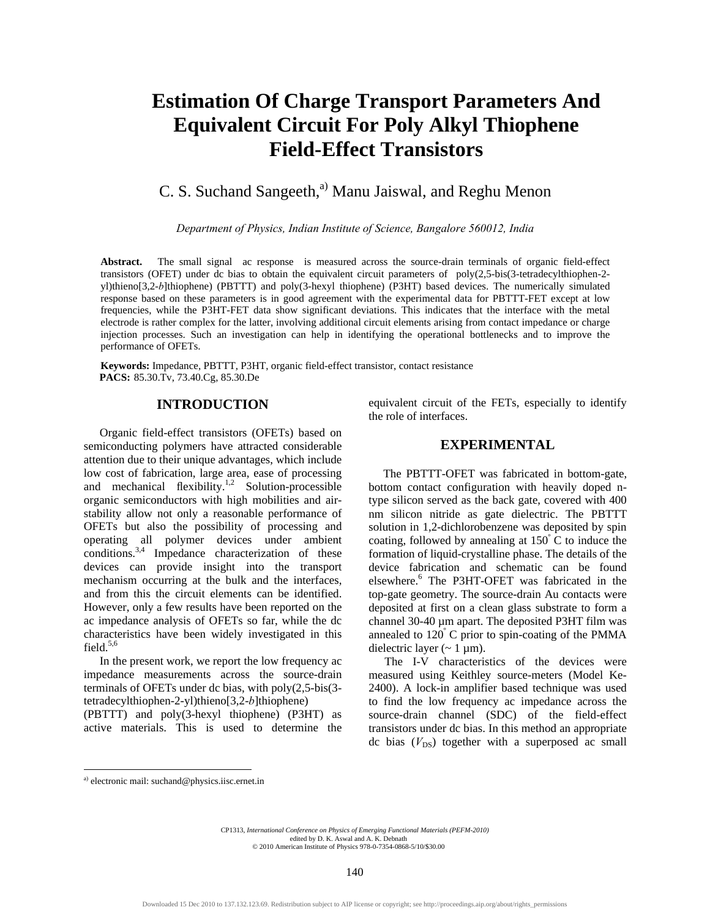# **Estimation Of Charge Transport Parameters And Equivalent Circuit For Poly Alkyl Thiophene Field-Effect Transistors**

# C. S. Suchand Sangeeth, $^{a)}$  Manu Jaiswal, and Reghu Menon

*Department of Physics, Indian Institute of Science, Bangalore 560012, India* 

Abstract. The small signal ac response is measured across the source-drain terminals of organic field-effect transistors (OFET) under dc bias to obtain the equivalent circuit parameters of poly(2,5-bis(3-tetradecylthiophen-2 yl)thieno[3,2-*b*]thiophene) (PBTTT) and poly(3-hexyl thiophene) (P3HT) based devices. The numerically simulated response based on these parameters is in good agreement with the experimental data for PBTTT-FET except at low frequencies, while the P3HT-FET data show significant deviations. This indicates that the interface with the metal electrode is rather complex for the latter, involving additional circuit elements arising from contact impedance or charge injection processes. Such an investigation can help in identifying the operational bottlenecks and to improve the performance of OFETs.

**Keywords:** Impedance, PBTTT, P3HT, organic field-effect transistor, contact resistance **PACS:** 85.30.Tv, 73.40.Cg, 85.30.De

#### **INTRODUCTION**

Organic field-effect transistors (OFETs) based on semiconducting polymers have attracted considerable attention due to their unique advantages, which include low cost of fabrication, large area, ease of processing and mechanical flexibility.<sup>1,2</sup> Solution-processible organic semiconductors with high mobilities and airstability allow not only a reasonable performance of OFETs but also the possibility of processing and operating all polymer devices under ambient conditions.3,4 Impedance characterization of these devices can provide insight into the transport mechanism occurring at the bulk and the interfaces, and from this the circuit elements can be identified. However, only a few results have been reported on the ac impedance analysis of OFETs so far, while the dc characteristics have been widely investigated in this field. $5,6$ 

In the present work, we report the low frequency ac impedance measurements across the source-drain terminals of OFETs under dc bias, with poly(2,5-bis(3 tetradecylthiophen-2-yl)thieno[3,2-*b*]thiophene)

(PBTTT) and poly(3-hexyl thiophene) (P3HT) as active materials. This is used to determine the equivalent circuit of the FETs, especially to identify the role of interfaces.

## **EXPERIMENTAL**

 The PBTTT-OFET was fabricated in bottom-gate, bottom contact configuration with heavily doped ntype silicon served as the back gate, covered with 400 nm silicon nitride as gate dielectric. The PBTTT solution in 1,2-dichlorobenzene was deposited by spin coating, followed by annealing at  $150^{\degree}$ C to induce the formation of liquid-crystalline phase. The details of the device fabrication and schematic can be found elsewhere.6 The P3HT-OFET was fabricated in the top-gate geometry. The source-drain Au contacts were deposited at first on a clean glass substrate to form a channel 30-40 µm apart. The deposited P3HT film was annealed to 120<sup>º</sup> C prior to spin-coating of the PMMA dielectric layer  $({\sim} 1 \,\mu\text{m})$ .

The I-V characteristics of the devices were measured using Keithley source-meters (Model Ke-2400). A lock-in amplifier based technique was used to find the low frequency ac impedance across the source-drain channel (SDC) of the field-effect transistors under dc bias. In this method an appropriate dc bias  $(V_{DS})$  together with a superposed ac small

1

CP1313, *International Conference on Physics of Emerging Functional Materials (PEFM-2010)*  edited by D. K. Aswal and A. K. Debnath © 2010 American Institute of Physics 978-0-7354-0868-5/10/\$30.00

a) electronic mail: suchand@physics.iisc.ernet.in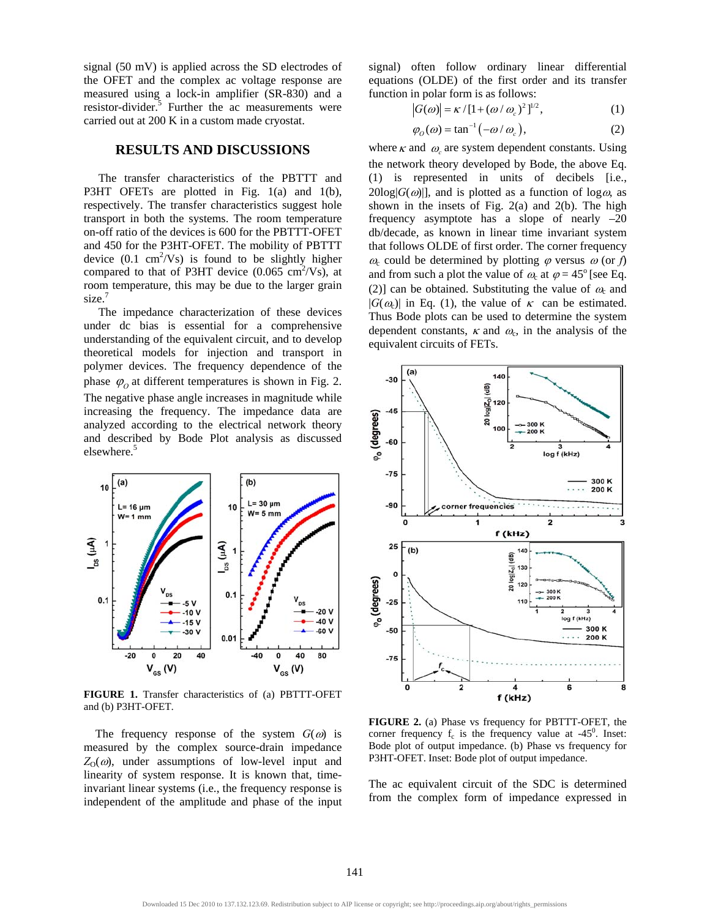signal (50 mV) is applied across the SD electrodes of the OFET and the complex ac voltage response are measured using a lock-in amplifier (SR-830) and a resistor-divider.<sup>5</sup> Further the ac measurements were carried out at 200 K in a custom made cryostat.

#### **RESULTS AND DISCUSSIONS**

 The transfer characteristics of the PBTTT and P3HT OFETs are plotted in Fig. 1(a) and 1(b), respectively. The transfer characteristics suggest hole transport in both the systems. The room temperature on-off ratio of the devices is 600 for the PBTTT-OFET and 450 for the P3HT-OFET. The mobility of PBTTT device  $(0.1 \text{ cm}^2/\text{Vs})$  is found to be slightly higher compared to that of P3HT device  $(0.065 \text{ cm}^2/\text{Vs})$ , at room temperature, this may be due to the larger grain size.<sup>7</sup>

 The impedance characterization of these devices under dc bias is essential for a comprehensive understanding of the equivalent circuit, and to develop theoretical models for injection and transport in polymer devices. The frequency dependence of the phase  $\varphi$  at different temperatures is shown in Fig. 2. The negative phase angle increases in magnitude while increasing the frequency. The impedance data are analyzed according to the electrical network theory and described by Bode Plot analysis as discussed elsewhere.<sup>5</sup>



**FIGURE 1.** Transfer characteristics of (a) PBTTT-OFET and (b) P3HT-OFET.

The frequency response of the system  $G(\omega)$  is measured by the complex source-drain impedance  $Z_0(\omega)$ , under assumptions of low-level input and linearity of system response. It is known that, timeinvariant linear systems (i.e., the frequency response is independent of the amplitude and phase of the input

signal) often follow ordinary linear differential equations (OLDE) of the first order and its transfer function in polar form is as follows:

$$
|G(\omega)| = \kappa / [1 + (\omega / \omega_c)^2]^{1/2}, \qquad (1)
$$

$$
\varphi_O(\omega) = \tan^{-1}(-\omega/\omega_c),\tag{2}
$$

where  $\kappa$  and  $\omega_c$  are system dependent constants. Using the network theory developed by Bode, the above Eq. (1) is represented in units of decibels [i.e.,  $20\log|G(\omega)|$ , and is plotted as a function of  $\log \omega$ , as shown in the insets of Fig. 2(a) and 2(b). The high frequency asymptote has a slope of nearly –20 db/decade, as known in linear time invariant system that follows OLDE of first order. The corner frequency  $\omega_c$  could be determined by plotting  $\varphi$  versus  $\omega$  (or *f*) and from such a plot the value of  $\omega_c$  at  $\varphi = 45^\circ$  [see Eq. (2)] can be obtained. Substituting the value of  $\omega_c$  and  $|G(\omega_c)|$  in Eq. (1), the value of  $\kappa$  can be estimated. Thus Bode plots can be used to determine the system dependent constants,  $\kappa$  and  $\omega_c$ , in the analysis of the equivalent circuits of FETs.



**FIGURE 2.** (a) Phase vs frequency for PBTTT-OFET, the corner frequency  $f_c$  is the frequency value at -45<sup>0</sup>. Inset: Bode plot of output impedance. (b) Phase vs frequency for P3HT-OFET. Inset: Bode plot of output impedance.

The ac equivalent circuit of the SDC is determined from the complex form of impedance expressed in